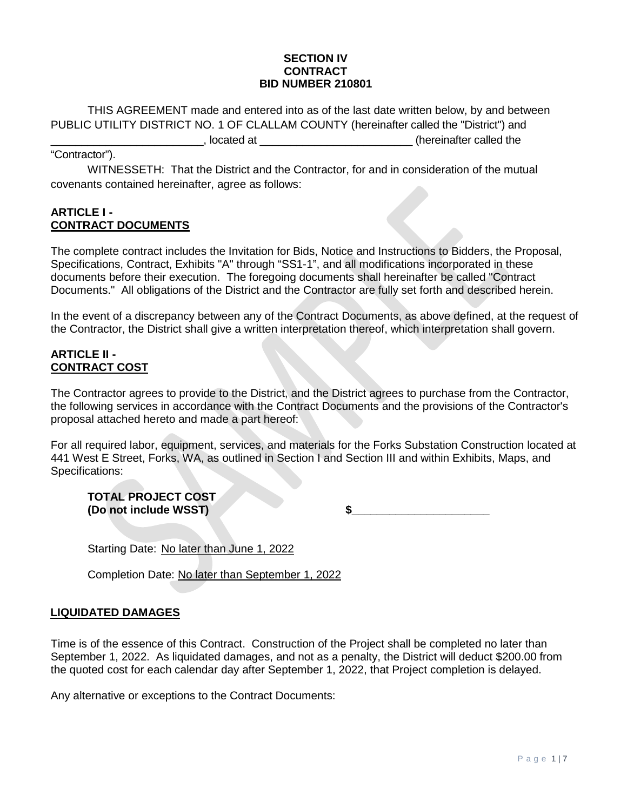#### **SECTION IV CONTRACT BID NUMBER 210801**

THIS AGREEMENT made and entered into as of the last date written below, by and between PUBLIC UTILITY DISTRICT NO. 1 OF CLALLAM COUNTY (hereinafter called the "District") and \_\_\_\_\_\_\_\_\_\_\_\_\_\_\_\_\_\_\_\_\_\_\_\_\_, located at \_\_\_\_\_\_\_\_\_\_\_\_\_\_\_\_\_\_\_\_\_\_\_\_\_ (hereinafter called the

### "Contractor").

WITNESSETH: That the District and the Contractor, for and in consideration of the mutual covenants contained hereinafter, agree as follows:

### **ARTICLE I - CONTRACT DOCUMENTS**

The complete contract includes the Invitation for Bids, Notice and Instructions to Bidders, the Proposal, Specifications, Contract, Exhibits "A" through "SS1-1", and all modifications incorporated in these documents before their execution. The foregoing documents shall hereinafter be called "Contract Documents." All obligations of the District and the Contractor are fully set forth and described herein.

In the event of a discrepancy between any of the Contract Documents, as above defined, at the request of the Contractor, the District shall give a written interpretation thereof, which interpretation shall govern.

# **ARTICLE II - CONTRACT COST**

The Contractor agrees to provide to the District, and the District agrees to purchase from the Contractor, the following services in accordance with the Contract Documents and the provisions of the Contractor's proposal attached hereto and made a part hereof:

For all required labor, equipment, services, and materials for the Forks Substation Construction located at 441 West E Street, Forks, WA, as outlined in Section I and Section III and within Exhibits, Maps, and Specifications:

**TOTAL PROJECT COST**

**(Do not include WSST) \$\_\_\_\_\_\_\_\_\_\_\_\_\_\_\_\_\_\_\_\_\_\_**

Starting Date: No later than June 1, 2022

Completion Date: No later than September 1, 2022

# **LIQUIDATED DAMAGES**

Time is of the essence of this Contract. Construction of the Project shall be completed no later than September 1, 2022. As liquidated damages, and not as a penalty, the District will deduct \$200.00 from the quoted cost for each calendar day after September 1, 2022, that Project completion is delayed.

Any alternative or exceptions to the Contract Documents: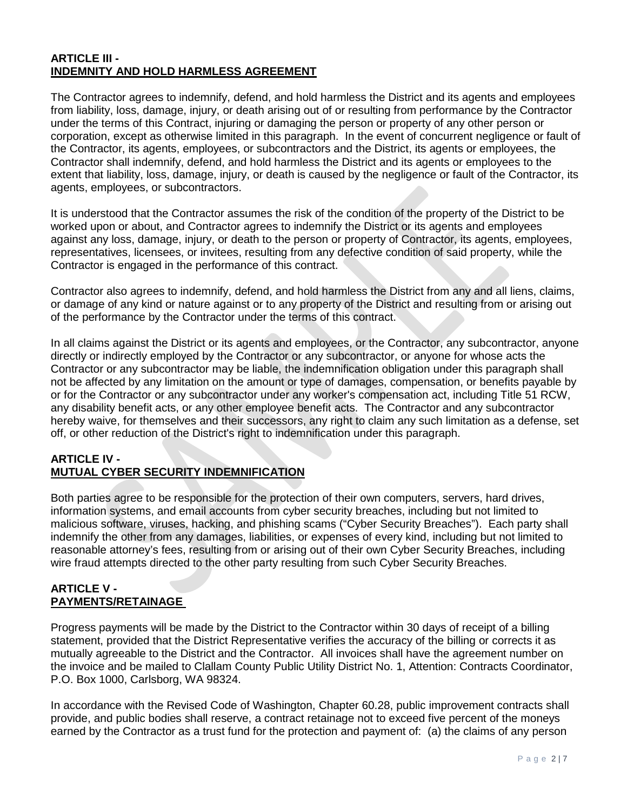### **ARTICLE III - INDEMNITY AND HOLD HARMLESS AGREEMENT**

The Contractor agrees to indemnify, defend, and hold harmless the District and its agents and employees from liability, loss, damage, injury, or death arising out of or resulting from performance by the Contractor under the terms of this Contract, injuring or damaging the person or property of any other person or corporation, except as otherwise limited in this paragraph. In the event of concurrent negligence or fault of the Contractor, its agents, employees, or subcontractors and the District, its agents or employees, the Contractor shall indemnify, defend, and hold harmless the District and its agents or employees to the extent that liability, loss, damage, injury, or death is caused by the negligence or fault of the Contractor, its agents, employees, or subcontractors.

It is understood that the Contractor assumes the risk of the condition of the property of the District to be worked upon or about, and Contractor agrees to indemnify the District or its agents and employees against any loss, damage, injury, or death to the person or property of Contractor, its agents, employees, representatives, licensees, or invitees, resulting from any defective condition of said property, while the Contractor is engaged in the performance of this contract.

Contractor also agrees to indemnify, defend, and hold harmless the District from any and all liens, claims, or damage of any kind or nature against or to any property of the District and resulting from or arising out of the performance by the Contractor under the terms of this contract.

In all claims against the District or its agents and employees, or the Contractor, any subcontractor, anyone directly or indirectly employed by the Contractor or any subcontractor, or anyone for whose acts the Contractor or any subcontractor may be liable, the indemnification obligation under this paragraph shall not be affected by any limitation on the amount or type of damages, compensation, or benefits payable by or for the Contractor or any subcontractor under any worker's compensation act, including Title 51 RCW, any disability benefit acts, or any other employee benefit acts. The Contractor and any subcontractor hereby waive, for themselves and their successors, any right to claim any such limitation as a defense, set off, or other reduction of the District's right to indemnification under this paragraph.

# **ARTICLE IV - MUTUAL CYBER SECURITY INDEMNIFICATION**

Both parties agree to be responsible for the protection of their own computers, servers, hard drives, information systems, and email accounts from cyber security breaches, including but not limited to malicious software, viruses, hacking, and phishing scams ("Cyber Security Breaches"). Each party shall indemnify the other from any damages, liabilities, or expenses of every kind, including but not limited to reasonable attorney's fees, resulting from or arising out of their own Cyber Security Breaches, including wire fraud attempts directed to the other party resulting from such Cyber Security Breaches.

### **ARTICLE V - PAYMENTS/RETAINAGE**

Progress payments will be made by the District to the Contractor within 30 days of receipt of a billing statement, provided that the District Representative verifies the accuracy of the billing or corrects it as mutually agreeable to the District and the Contractor. All invoices shall have the agreement number on the invoice and be mailed to Clallam County Public Utility District No. 1, Attention: Contracts Coordinator, P.O. Box 1000, Carlsborg, WA 98324.

In accordance with the Revised Code of Washington, Chapter 60.28, public improvement contracts shall provide, and public bodies shall reserve, a contract retainage not to exceed five percent of the moneys earned by the Contractor as a trust fund for the protection and payment of: (a) the claims of any person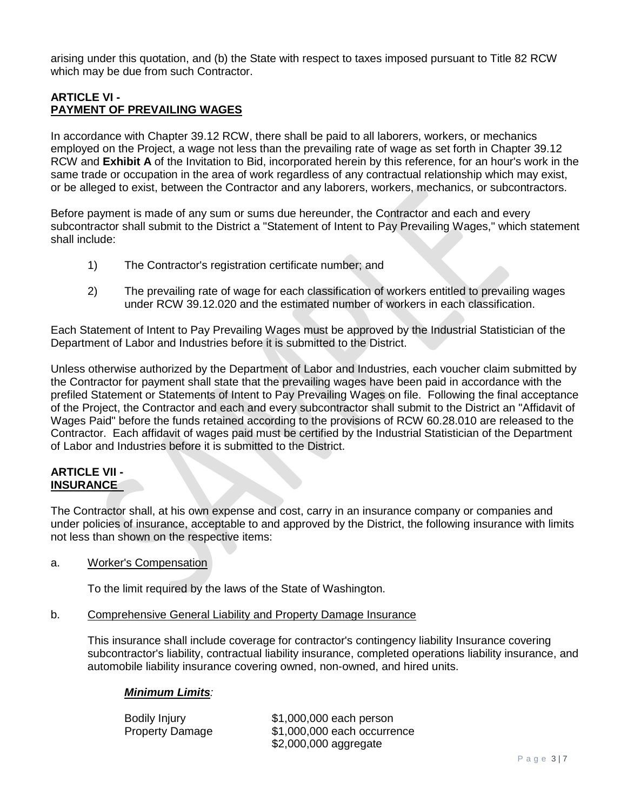arising under this quotation, and (b) the State with respect to taxes imposed pursuant to Title 82 RCW which may be due from such Contractor.

#### **ARTICLE VI - PAYMENT OF PREVAILING WAGES**

In accordance with Chapter 39.12 RCW, there shall be paid to all laborers, workers, or mechanics employed on the Project, a wage not less than the prevailing rate of wage as set forth in Chapter 39.12 RCW and **Exhibit A** of the Invitation to Bid, incorporated herein by this reference, for an hour's work in the same trade or occupation in the area of work regardless of any contractual relationship which may exist, or be alleged to exist, between the Contractor and any laborers, workers, mechanics, or subcontractors.

Before payment is made of any sum or sums due hereunder, the Contractor and each and every subcontractor shall submit to the District a "Statement of Intent to Pay Prevailing Wages," which statement shall include:

- 1) The Contractor's registration certificate number; and
- 2) The prevailing rate of wage for each classification of workers entitled to prevailing wages under RCW 39.12.020 and the estimated number of workers in each classification.

Each Statement of Intent to Pay Prevailing Wages must be approved by the Industrial Statistician of the Department of Labor and Industries before it is submitted to the District.

Unless otherwise authorized by the Department of Labor and Industries, each voucher claim submitted by the Contractor for payment shall state that the prevailing wages have been paid in accordance with the prefiled Statement or Statements of Intent to Pay Prevailing Wages on file. Following the final acceptance of the Project, the Contractor and each and every subcontractor shall submit to the District an "Affidavit of Wages Paid" before the funds retained according to the provisions of RCW 60.28.010 are released to the Contractor. Each affidavit of wages paid must be certified by the Industrial Statistician of the Department of Labor and Industries before it is submitted to the District.

### **ARTICLE VII - INSURANCE**

The Contractor shall, at his own expense and cost, carry in an insurance company or companies and under policies of insurance, acceptable to and approved by the District, the following insurance with limits not less than shown on the respective items:

a. Worker's Compensation

To the limit required by the laws of the State of Washington.

b. Comprehensive General Liability and Property Damage Insurance

This insurance shall include coverage for contractor's contingency liability Insurance covering subcontractor's liability, contractual liability insurance, completed operations liability insurance, and automobile liability insurance covering owned, non-owned, and hired units.

#### *Minimum Limits:*

Bodily Injury \$1,000,000 each person Property Damage \$1,000,000 each occurrence \$2,000,000 aggregate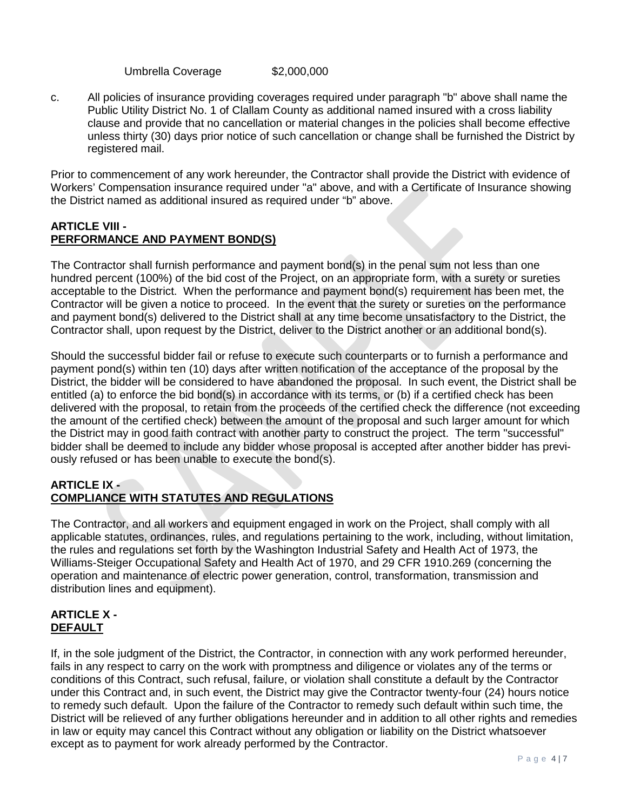Umbrella Coverage \$2,000,000

c. All policies of insurance providing coverages required under paragraph "b" above shall name the Public Utility District No. 1 of Clallam County as additional named insured with a cross liability clause and provide that no cancellation or material changes in the policies shall become effective unless thirty (30) days prior notice of such cancellation or change shall be furnished the District by registered mail.

Prior to commencement of any work hereunder, the Contractor shall provide the District with evidence of Workers' Compensation insurance required under "a" above, and with a Certificate of Insurance showing the District named as additional insured as required under "b" above.

### **ARTICLE VIII - PERFORMANCE AND PAYMENT BOND(S)**

The Contractor shall furnish performance and payment bond(s) in the penal sum not less than one hundred percent (100%) of the bid cost of the Project, on an appropriate form, with a surety or sureties acceptable to the District. When the performance and payment bond(s) requirement has been met, the Contractor will be given a notice to proceed. In the event that the surety or sureties on the performance and payment bond(s) delivered to the District shall at any time become unsatisfactory to the District, the Contractor shall, upon request by the District, deliver to the District another or an additional bond(s).

Should the successful bidder fail or refuse to execute such counterparts or to furnish a performance and payment pond(s) within ten (10) days after written notification of the acceptance of the proposal by the District, the bidder will be considered to have abandoned the proposal. In such event, the District shall be entitled (a) to enforce the bid bond(s) in accordance with its terms, or (b) if a certified check has been delivered with the proposal, to retain from the proceeds of the certified check the difference (not exceeding the amount of the certified check) between the amount of the proposal and such larger amount for which the District may in good faith contract with another party to construct the project. The term "successful" bidder shall be deemed to include any bidder whose proposal is accepted after another bidder has previously refused or has been unable to execute the bond(s).

# **ARTICLE IX - COMPLIANCE WITH STATUTES AND REGULATIONS**

The Contractor, and all workers and equipment engaged in work on the Project, shall comply with all applicable statutes, ordinances, rules, and regulations pertaining to the work, including, without limitation, the rules and regulations set forth by the Washington Industrial Safety and Health Act of 1973, the Williams-Steiger Occupational Safety and Health Act of 1970, and 29 CFR 1910.269 (concerning the operation and maintenance of electric power generation, control, transformation, transmission and distribution lines and equipment).

# **ARTICLE X - DEFAULT**

If, in the sole judgment of the District, the Contractor, in connection with any work performed hereunder, fails in any respect to carry on the work with promptness and diligence or violates any of the terms or conditions of this Contract, such refusal, failure, or violation shall constitute a default by the Contractor under this Contract and, in such event, the District may give the Contractor twenty-four (24) hours notice to remedy such default. Upon the failure of the Contractor to remedy such default within such time, the District will be relieved of any further obligations hereunder and in addition to all other rights and remedies in law or equity may cancel this Contract without any obligation or liability on the District whatsoever except as to payment for work already performed by the Contractor.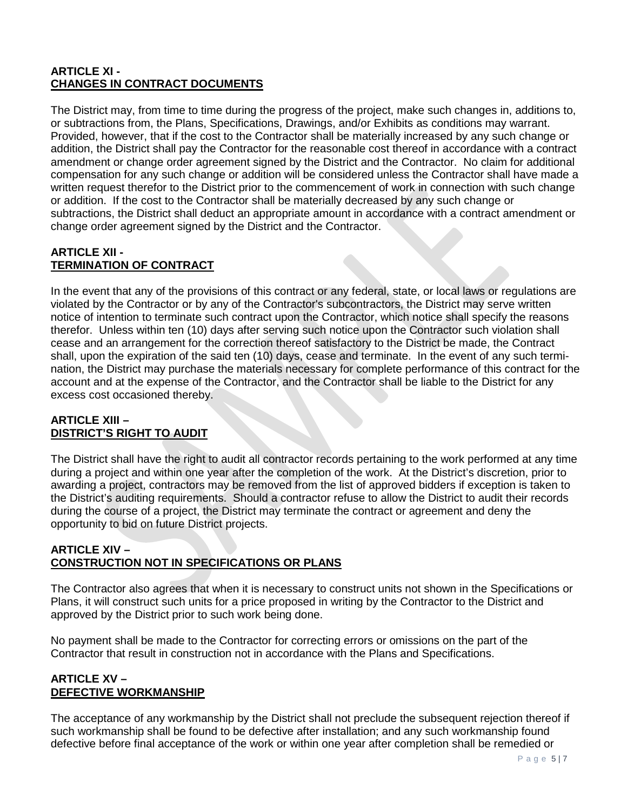# **ARTICLE XI - CHANGES IN CONTRACT DOCUMENTS**

The District may, from time to time during the progress of the project, make such changes in, additions to, or subtractions from, the Plans, Specifications, Drawings, and/or Exhibits as conditions may warrant. Provided, however, that if the cost to the Contractor shall be materially increased by any such change or addition, the District shall pay the Contractor for the reasonable cost thereof in accordance with a contract amendment or change order agreement signed by the District and the Contractor. No claim for additional compensation for any such change or addition will be considered unless the Contractor shall have made a written request therefor to the District prior to the commencement of work in connection with such change or addition. If the cost to the Contractor shall be materially decreased by any such change or subtractions, the District shall deduct an appropriate amount in accordance with a contract amendment or change order agreement signed by the District and the Contractor.

#### **ARTICLE XII - TERMINATION OF CONTRACT**

In the event that any of the provisions of this contract or any federal, state, or local laws or regulations are violated by the Contractor or by any of the Contractor's subcontractors, the District may serve written notice of intention to terminate such contract upon the Contractor, which notice shall specify the reasons therefor. Unless within ten (10) days after serving such notice upon the Contractor such violation shall cease and an arrangement for the correction thereof satisfactory to the District be made, the Contract shall, upon the expiration of the said ten (10) days, cease and terminate. In the event of any such termination, the District may purchase the materials necessary for complete performance of this contract for the account and at the expense of the Contractor, and the Contractor shall be liable to the District for any excess cost occasioned thereby.

#### **ARTICLE XIII – DISTRICT'S RIGHT TO AUDIT**

The District shall have the right to audit all contractor records pertaining to the work performed at any time during a project and within one year after the completion of the work. At the District's discretion, prior to awarding a project, contractors may be removed from the list of approved bidders if exception is taken to the District's auditing requirements. Should a contractor refuse to allow the District to audit their records during the course of a project, the District may terminate the contract or agreement and deny the opportunity to bid on future District projects.

# **ARTICLE XIV – CONSTRUCTION NOT IN SPECIFICATIONS OR PLANS**

The Contractor also agrees that when it is necessary to construct units not shown in the Specifications or Plans, it will construct such units for a price proposed in writing by the Contractor to the District and approved by the District prior to such work being done.

No payment shall be made to the Contractor for correcting errors or omissions on the part of the Contractor that result in construction not in accordance with the Plans and Specifications.

### **ARTICLE XV – DEFECTIVE WORKMANSHIP**

The acceptance of any workmanship by the District shall not preclude the subsequent rejection thereof if such workmanship shall be found to be defective after installation; and any such workmanship found defective before final acceptance of the work or within one year after completion shall be remedied or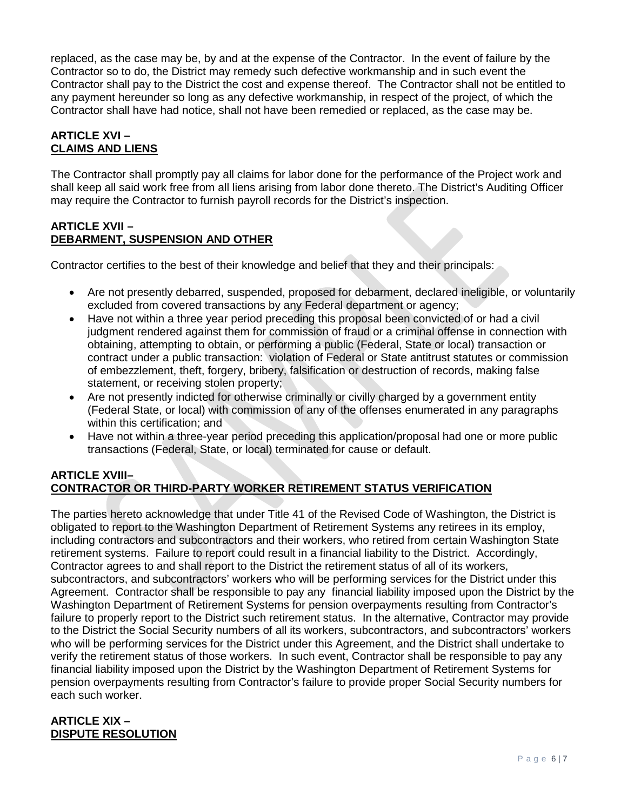replaced, as the case may be, by and at the expense of the Contractor. In the event of failure by the Contractor so to do, the District may remedy such defective workmanship and in such event the Contractor shall pay to the District the cost and expense thereof. The Contractor shall not be entitled to any payment hereunder so long as any defective workmanship, in respect of the project, of which the Contractor shall have had notice, shall not have been remedied or replaced, as the case may be.

# **ARTICLE XVI – CLAIMS AND LIENS**

The Contractor shall promptly pay all claims for labor done for the performance of the Project work and shall keep all said work free from all liens arising from labor done thereto. The District's Auditing Officer may require the Contractor to furnish payroll records for the District's inspection.

# **ARTICLE XVII – DEBARMENT, SUSPENSION AND OTHER**

Contractor certifies to the best of their knowledge and belief that they and their principals:

- Are not presently debarred, suspended, proposed for debarment, declared ineligible, or voluntarily excluded from covered transactions by any Federal department or agency;
- Have not within a three year period preceding this proposal been convicted of or had a civil judgment rendered against them for commission of fraud or a criminal offense in connection with obtaining, attempting to obtain, or performing a public (Federal, State or local) transaction or contract under a public transaction: violation of Federal or State antitrust statutes or commission of embezzlement, theft, forgery, bribery, falsification or destruction of records, making false statement, or receiving stolen property;
- Are not presently indicted for otherwise criminally or civilly charged by a government entity (Federal State, or local) with commission of any of the offenses enumerated in any paragraphs within this certification; and
- Have not within a three-year period preceding this application/proposal had one or more public transactions (Federal, State, or local) terminated for cause or default.

# **ARTICLE XVIII– CONTRACTOR OR THIRD-PARTY WORKER RETIREMENT STATUS VERIFICATION**

The parties hereto acknowledge that under Title 41 of the Revised Code of Washington, the District is obligated to report to the Washington Department of Retirement Systems any retirees in its employ, including contractors and subcontractors and their workers, who retired from certain Washington State retirement systems. Failure to report could result in a financial liability to the District. Accordingly, Contractor agrees to and shall report to the District the retirement status of all of its workers, subcontractors, and subcontractors' workers who will be performing services for the District under this Agreement. Contractor shall be responsible to pay any financial liability imposed upon the District by the Washington Department of Retirement Systems for pension overpayments resulting from Contractor's failure to properly report to the District such retirement status. In the alternative, Contractor may provide to the District the Social Security numbers of all its workers, subcontractors, and subcontractors' workers who will be performing services for the District under this Agreement, and the District shall undertake to verify the retirement status of those workers. In such event, Contractor shall be responsible to pay any financial liability imposed upon the District by the Washington Department of Retirement Systems for pension overpayments resulting from Contractor's failure to provide proper Social Security numbers for each such worker.

### **ARTICLE XIX – DISPUTE RESOLUTION**